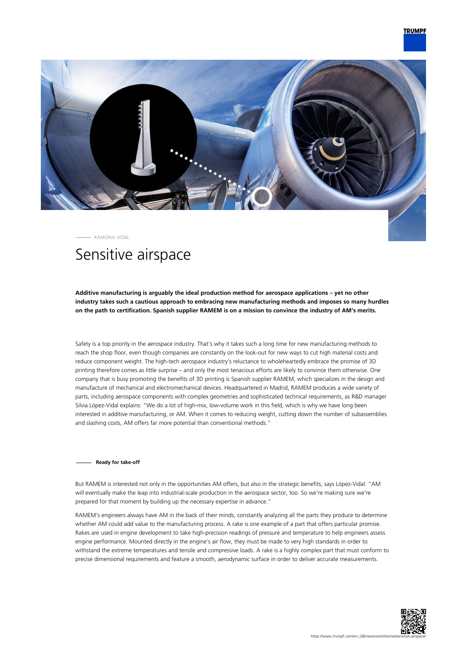

RAMONA HÖNL

# Sensitive airspace

**Additive manufacturing is arguably the ideal production method for aerospace applications – yet no other industry takes such a cautious approach to embracing new manufacturing methods and imposes so many hurdles on the path to certification. Spanish supplier RAMEM is on a mission to convince the industry of AM's merits.**

Safety is a top priority in the aerospace industry. That's why it takes such a long time for new manufacturing methods to reach the shop floor, even though companies are constantly on the look-out for new ways to cut high material costs and reduce component weight. The high-tech aerospace industry's reluctance to wholeheartedly embrace the promise of 3D printing therefore comes as little surprise – and only the most tenacious efforts are likely to convince them otherwise. One company that is busy promoting the benefits of 3D printing is Spanish supplier RAMEM, which specializes in the design and manufacture of mechanical and electromechanical devices. Headquartered in Madrid, RAMEM produces a wide variety of parts, including aerospace components with complex geometries and sophisticated technical requirements, as R&D manager Silvia López-Vidal explains: "We do a lot of high-mix, low-volume work in this field, which is why we have long been interested in additive manufacturing, or AM. When it comes to reducing weight, cutting down the number of subassemblies and slashing costs, AM offers far more potential than conventional methods."

**Ready for take-off**

But RAMEM is interested not only in the opportunities AM offers, but also in the strategic benefits, says López-Vidal: "AM will eventually make the leap into industrial-scale production in the aerospace sector, too. So we're making sure we're prepared for that moment by building up the necessary expertise in advance."

RAMEM's engineers always have AM in the back of their minds, constantly analyzing all the parts they produce to determine whether AM could add value to the manufacturing process. A rake is one example of a part that offers particular promise. Rakes are used in engine development to take high-precision readings of pressure and temperature to help engineers assess engine performance. Mounted directly in the engine's air flow, they must be made to very high standards in order to withstand the extreme temperatures and tensile and compressive loads. A rake is a highly complex part that must conform to precise dimensional requirements and feature a smooth, aerodynamic surface in order to deliver accurate measurements.

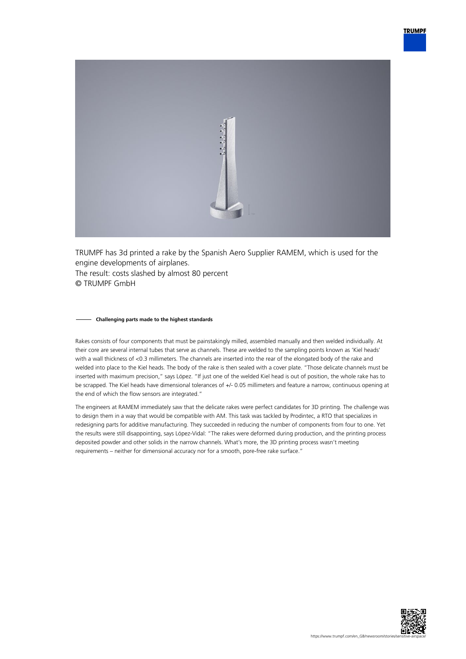

TRUMPF has 3d printed a rake by the Spanish Aero Supplier RAMEM, which is used for the engine developments of airplanes. The result: costs slashed by almost 80 percent © TRUMPF GmbH

### **Challenging parts made to the highest standards**

Rakes consists of four components that must be painstakingly milled, assembled manually and then welded individually. At their core are several internal tubes that serve as channels. These are welded to the sampling points known as 'Kiel heads' with a wall thickness of <0.3 millimeters. The channels are inserted into the rear of the elongated body of the rake and welded into place to the Kiel heads. The body of the rake is then sealed with a cover plate. "Those delicate channels must be inserted with maximum precision," says López. "If just one of the welded Kiel head is out of position, the whole rake has to be scrapped. The Kiel heads have dimensional tolerances of +/- 0.05 millimeters and feature a narrow, continuous opening at the end of which the flow sensors are integrated."

The engineers at RAMEM immediately saw that the delicate rakes were perfect candidates for 3D printing. The challenge was to design them in a way that would be compatible with AM. This task was tackled by Prodintec, a RTO that specializes in redesigning parts for additive manufacturing. They succeeded in reducing the number of components from four to one. Yet the results were still disappointing, says López-Vidal: "The rakes were deformed during production, and the printing process deposited powder and other solids in the narrow channels. What's more, the 3D printing process wasn't meeting requirements – neither for dimensional accuracy nor for a smooth, pore-free rake surface."

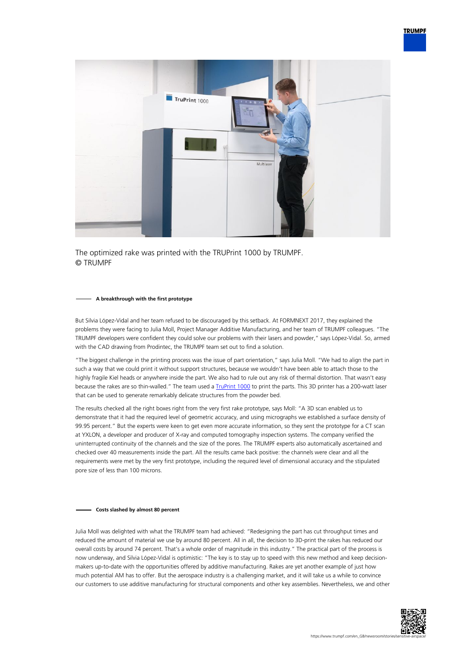

The optimized rake was printed with the TRUPrint 1000 by TRUMPF. © TRUMPF

## **A breakthrough with the first prototype**

But Silvia López-Vidal and her team refused to be discouraged by this setback. At FORMNEXT 2017, they explained the problems they were facing to Julia Moll, Project Manager Additive Manufacturing, and her team of TRUMPF colleagues. "The TRUMPF developers were confident they could solve our problems with their lasers and powder," says López-Vidal. So, armed with the CAD drawing from Prodintec, the TRUMPF team set out to find a solution.

"The biggest challenge in the printing process was the issue of part orientation," says Julia Moll. "We had to align the part in such a way that we could print it without support structures, because we wouldn't have been able to attach those to the highly fragile Kiel heads or anywhere inside the part. We also had to rule out any risk of thermal distortion. That wasn't easy because the rakes are so thin-walled." The team used a **TruPrint 1000** to print the parts. This 3D printer has a 200-watt laser that can be used to generate remarkably delicate structures from the powder bed.

The results checked all the right boxes right from the very first rake prototype, says Moll: "A 3D scan enabled us to demonstrate that it had the required level of geometric accuracy, and using micrographs we established a surface density of 99.95 percent." But the experts were keen to get even more accurate information, so they sent the prototype for a CT scan at YXLON, a developer and producer of X-ray and computed tomography inspection systems. The company verified the uninterrupted continuity of the channels and the size of the pores. The TRUMPF experts also automatically ascertained and checked over 40 measurements inside the part. All the results came back positive: the channels were clear and all the requirements were met by the very first prototype, including the required level of dimensional accuracy and the stipulated pore size of less than 100 microns.

### **Costs slashed by almost 80 percent**

Julia Moll was delighted with what the TRUMPF team had achieved: "Redesigning the part has cut throughput times and reduced the amount of material we use by around 80 percent. All in all, the decision to 3D-print the rakes has reduced our overall costs by around 74 percent. That's a whole order of magnitude in this industry." The practical part of the process is now underway, and Silvia López-Vidal is optimistic: "The key is to stay up to speed with this new method and keep decisionmakers up-to-date with the opportunities offered by additive manufacturing. Rakes are yet another example of just how much potential AM has to offer. But the aerospace industry is a challenging market, and it will take us a while to convince our customers to use additive manufacturing for structural components and other key assemblies. Nevertheless, we and other